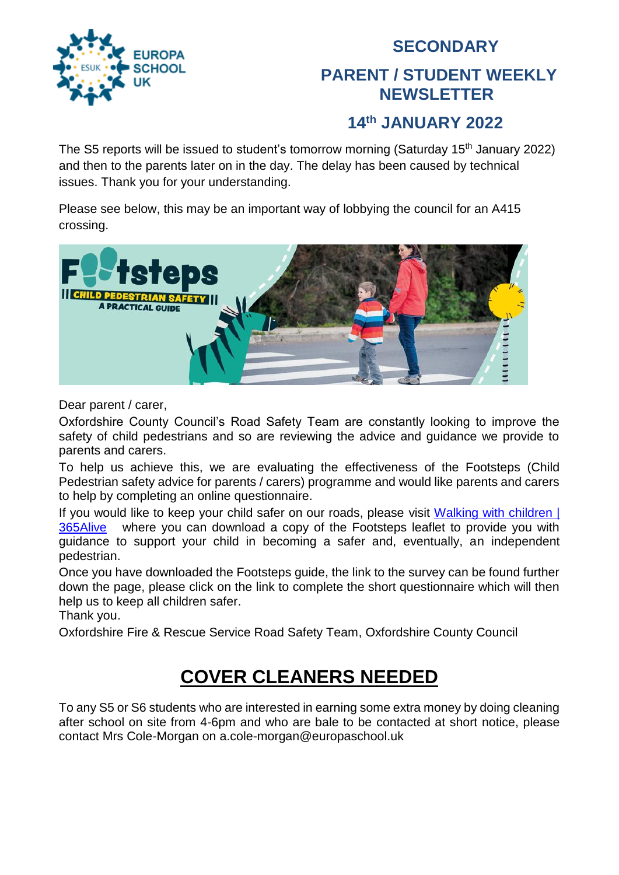

### **SECONDARY PARENT / STUDENT WEEKLY NEWSLETTER**

#### **14 th JANUARY 2022**

The S5 reports will be issued to student's tomorrow morning (Saturday 15<sup>th</sup> January 2022) and then to the parents later on in the day. The delay has been caused by technical issues. Thank you for your understanding.

Please see below, this may be an important way of lobbying the council for an A415 crossing.



Dear parent / carer,

Oxfordshire County Council's Road Safety Team are constantly looking to improve the safety of child pedestrians and so are reviewing the advice and guidance we provide to parents and carers.

To help us achieve this, we are evaluating the effectiveness of the Footsteps (Child Pedestrian safety advice for parents / carers) programme and would like parents and carers to help by completing an online questionnaire.

If you would like to keep your child safer on our roads, please visit [Walking with children |](http://www.365alive.co.uk/cms/content/walking-children)  [365Alive](http://www.365alive.co.uk/cms/content/walking-children) where you can download a copy of the Footsteps leaflet to provide you with guidance to support your child in becoming a safer and, eventually, an independent pedestrian.

Once you have downloaded the Footsteps guide, the link to the survey can be found further down the page, please click on the link to complete the short questionnaire which will then help us to keep all children safer.

Thank you.

Oxfordshire Fire & Rescue Service Road Safety Team, Oxfordshire County Council

## **COVER CLEANERS NEEDED**

To any S5 or S6 students who are interested in earning some extra money by doing cleaning after school on site from 4-6pm and who are bale to be contacted at short notice, please contact Mrs Cole-Morgan on a.cole-morgan@europaschool.uk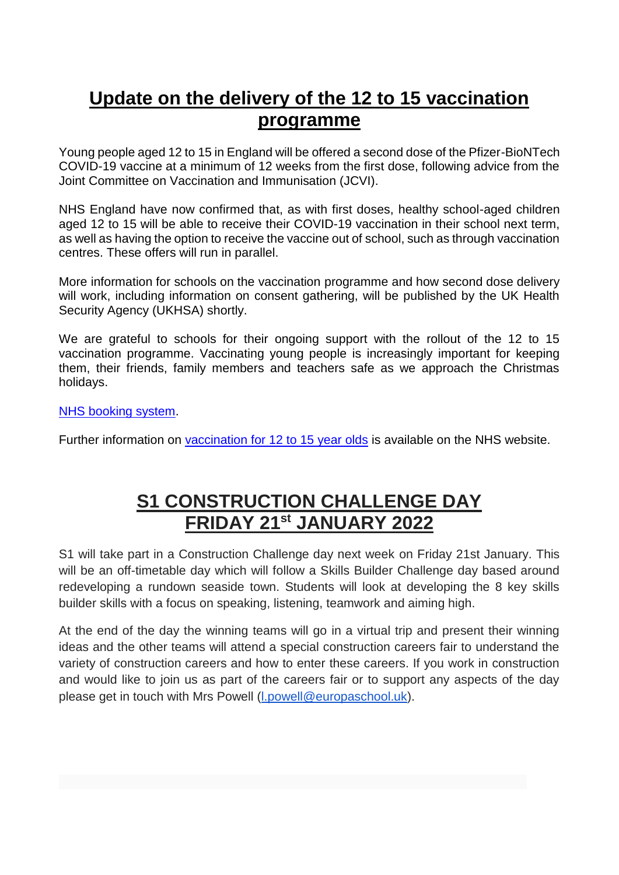### **Update on the delivery of the 12 to 15 vaccination programme**

Young people aged 12 to 15 in England will be offered a second dose of the Pfizer-BioNTech COVID-19 vaccine at a minimum of 12 weeks from the first dose, following advice from the Joint Committee on Vaccination and Immunisation (JCVI).

NHS England have now confirmed that, as with first doses, healthy school-aged children aged 12 to 15 will be able to receive their COVID-19 vaccination in their school next term, as well as having the option to receive the vaccine out of school, such as through vaccination centres. These offers will run in parallel.

More information for schools on the vaccination programme and how second dose delivery will work, including information on consent gathering, will be published by the UK Health Security Agency (UKHSA) shortly.

We are grateful to schools for their ongoing support with the rollout of the 12 to 15 vaccination programme. Vaccinating young people is increasingly important for keeping them, their friends, family members and teachers safe as we approach the Christmas holidays.

#### [NHS booking system.](https://www.nhs.uk/conditions/coronavirus-covid-19/coronavirus-vaccination/book-coronavirus-vaccination/?utm_source=14%20December%202021%20C19&utm_medium=Daily%20Email%20C19&utm_campaign=DfE%20C19)

Further information on vaccination for [12 to 15 year olds](https://www.nhs.uk/conditions/coronavirus-covid-19/coronavirus-vaccination/coronavirus-vaccine-for-children-aged-12-to-15/?utm_source=14%20December%202021%20C19&utm_medium=Daily%20Email%20C19&utm_campaign=DfE%20C19) is available on the NHS website.

### **S1 CONSTRUCTION CHALLENGE DAY FRIDAY 21st JANUARY 2022**

S1 will take part in a Construction Challenge day next week on Friday 21st January. This will be an off-timetable day which will follow a Skills Builder Challenge day based around redeveloping a rundown seaside town. Students will look at developing the 8 key skills builder skills with a focus on speaking, listening, teamwork and aiming high.

At the end of the day the winning teams will go in a virtual trip and present their winning ideas and the other teams will attend a special construction careers fair to understand the variety of construction careers and how to enter these careers. If you work in construction and would like to join us as part of the careers fair or to support any aspects of the day please get in touch with Mrs Powell [\(l.powell@europaschool.uk\)](mailto:l.powell@europaschool.uk).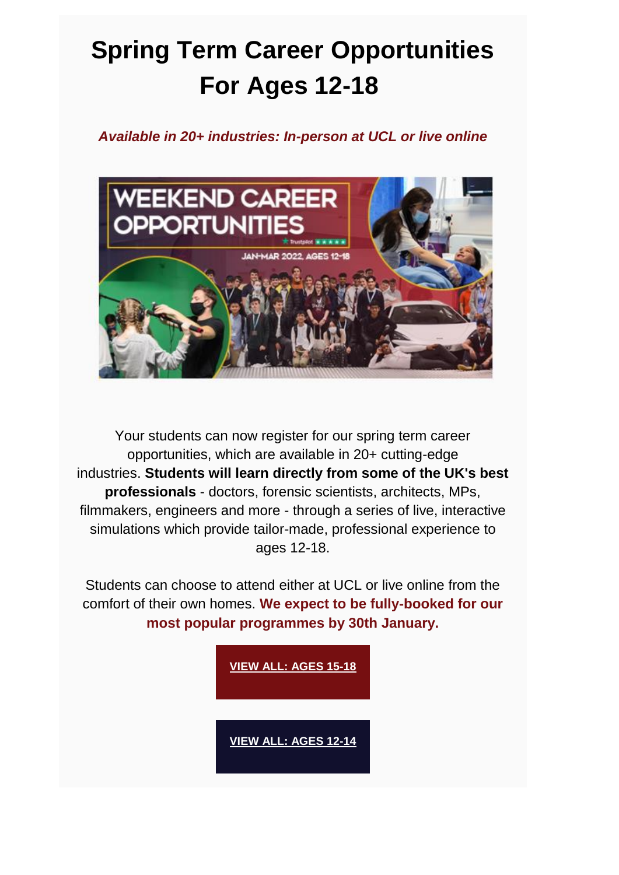# **Spring Term Career Opportunities For Ages 12-18**

### *Available in 20+ industries: In-person at UCL or live online*



Your students can now register for our spring term career opportunities, which are available in 20+ cutting-edge industries. **Students will learn directly from some of the UK's best professionals** - doctors, forensic scientists, architects, MPs, filmmakers, engineers and more - through a series of live, interactive simulations which provide tailor-made, professional experience to ages 12-18.

Students can choose to attend either at UCL or live online from the comfort of their own homes. **We expect to be fully-booked for our most popular programmes by 30th January.**

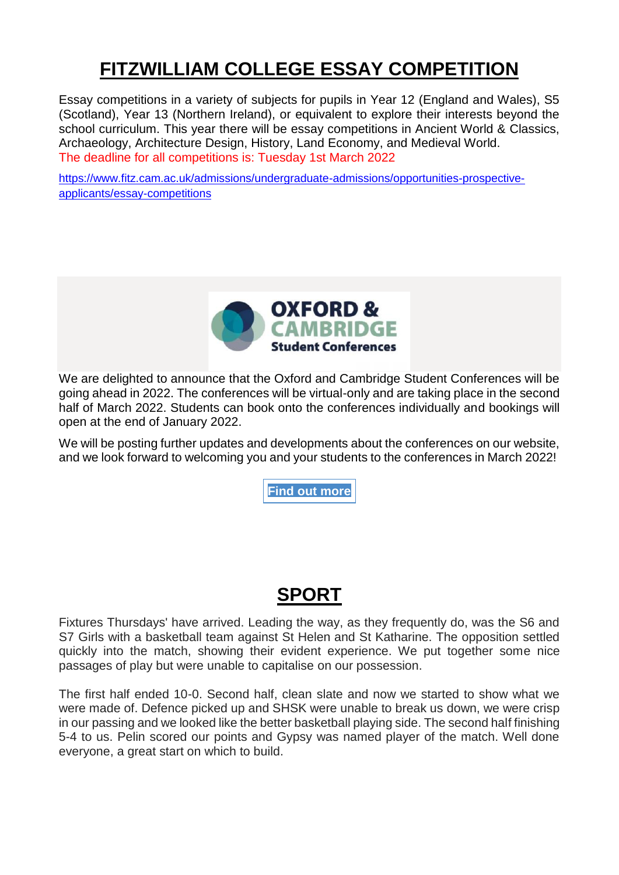### **FITZWILLIAM COLLEGE ESSAY COMPETITION**

Essay competitions in a variety of subjects for pupils in Year 12 (England and Wales), S5 (Scotland), Year 13 (Northern Ireland), or equivalent to explore their interests beyond the school curriculum. This year there will be essay competitions in Ancient World & Classics, Archaeology, Architecture Design, History, Land Economy, and Medieval World. The deadline for all competitions is: Tuesday 1st March 2022

[https://www.fitz.cam.ac.uk/admissions/undergraduate-admissions/opportunities-prospective](https://www.fitz.cam.ac.uk/admissions/undergraduate-admissions/opportunities-prospective-applicants/essay-competitions)[applicants/essay-competitions](https://www.fitz.cam.ac.uk/admissions/undergraduate-admissions/opportunities-prospective-applicants/essay-competitions)



We are delighted to announce that the Oxford and Cambridge Student Conferences will be going ahead in 2022. The conferences will be virtual-only and are taking place in the second half of March 2022. Students can book onto the conferences individually and bookings will open at the end of January 2022.

We will be posting further updates and developments about the conferences on our website, and we look forward to welcoming you and your students to the conferences in March 2022!

**Find out [more](https://www.undergraduate.study.cam.ac.uk/events/student-conferences)**

### **SPORT**

Fixtures Thursdays' have arrived. Leading the way, as they frequently do, was the S6 and S7 Girls with a basketball team against St Helen and St Katharine. The opposition settled quickly into the match, showing their evident experience. We put together some nice passages of play but were unable to capitalise on our possession.

The first half ended 10-0. Second half, clean slate and now we started to show what we were made of. Defence picked up and SHSK were unable to break us down, we were crisp in our passing and we looked like the better basketball playing side. The second half finishing 5-4 to us. Pelin scored our points and Gypsy was named player of the match. Well done everyone, a great start on which to build.